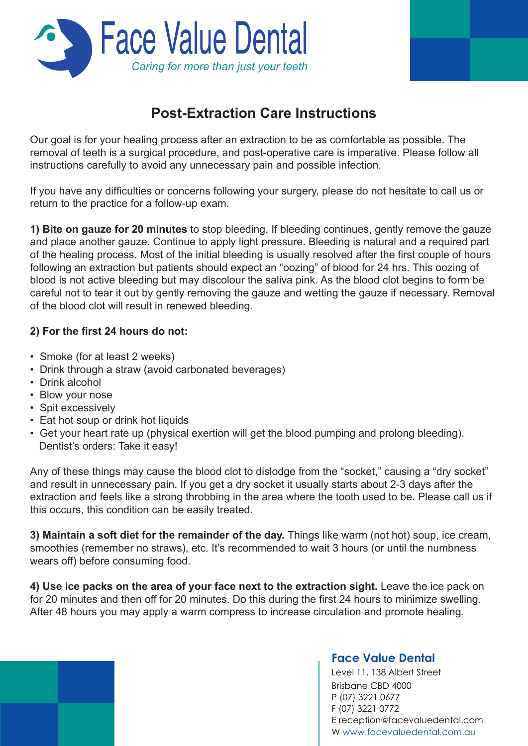

## **Post-Extraction Care Instructions**

Our goal is for your healing process after an extraction to be as comfortable as possible. The removal of teeth is a surgical procedure, and post-operative care is imperative. Please follow all instructions carefully to avoid any unnecessary pain and possible infection.

If you have any difficulties or concerns following your surgery, please do not hesitate to call us or return to the practice for a follow-up exam.

**1) Bite on gauze for 20 minutes** to stop bleeding. If bleeding continues, gently remove the gauze and place another gauze. Continue to apply light pressure. Bleeding is natural and a required part of the healing process. Most of the initial bleeding is usually resolved after the first couple of hours following an extraction but patients should expect an "oozing" of blood for 24 hrs. This oozing of blood is not active bleeding but may discolour the saliva pink. As the blood clot begins to form be careful not to tear it out by gently removing the gauze and wetting the gauze if necessary. Removal of the blood clot will result in renewed bleeding.

## **2) For the first 24 hours do not:**

- Smoke (for at least 2 weeks)
- Drink through a straw (avoid carbonated beverages)
- Drink alcohol
- Blow your nose
- Spit excessively
- Eat hot soup or drink hot liquids
- Get your heart rate up (physical exertion will get the blood pumping and prolong bleeding). Dentist's orders: Take it easy!

Any of these things may cause the blood clot to dislodge from the "socket," causing a "dry socket" and result in unnecessary pain. If you get a dry socket it usually starts about 2-3 days after the extraction and feels like a strong throbbing in the area where the tooth used to be. Please call us if this occurs, this condition can be easily treated.

**3) Maintain a soft diet for the remainder of the day.** Things like warm (not hot) soup, ice cream, smoothies (remember no straws), etc. It's recommended to wait 3 hours (or until the numbness wears off) before consuming food.

**4) Use ice packs on the area of your face next to the extraction sight.** Leave the ice pack on for 20 minutes and then off for 20 minutes. Do this during the first 24 hours to minimize swelling. After 48 hours you may apply a warm compress to increase circulation and promote healing.

## **Face Value Dental**

Level 11, 138 Albert Street Brisbane CBD 4000 P (07) 3221 0677 F (07) 3221 0772 E reception@facevaluedental.com W www.facevaluedental.com.au